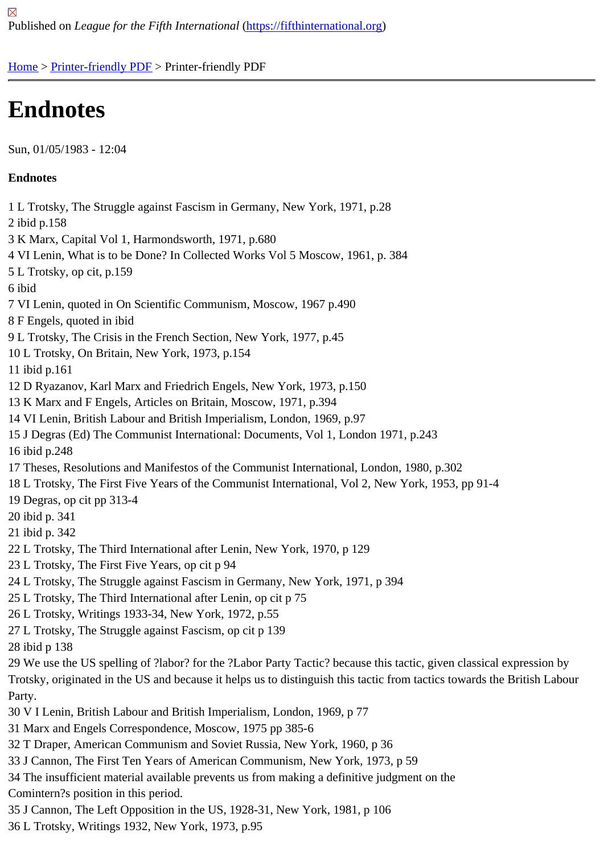## **[En](https://fifthinternational.org/)[dnotes](https://fifthinternational.org/printpdf)**

Sun, 01/05/1983 - 12:04

**Endnotes** 

1 L Trotsky, The Struggle against Fascism in Germany, New York, 1971, p.28

- 2 ibid p.158
- 3 K Marx, Capital Vol 1, Harmondsworth, 1971, p.680
- 4 VI Lenin, What is to be Done? In Collected Works Vol 5 Moscow, 1961, p. 384
- 5 L Trotsky, op cit, p.159
- 6 ibid
- 7 VI Lenin, quoted in On Scientific Communism, Moscow, 1967 p.490
- 8 F Engels, quoted in ibid
- 9 L Trotsky, The Crisis in the French Section, New York, 1977, p.45
- 10 L Trotsky, On Britain, New York, 1973, p.154
- 11 ibid p.161
- 12 D Ryazanov, Karl Marx and Friedrich Engels, New York, 1973, p.150
- 13 K Marx and F Engels, Articles on Britain, Moscow, 1971, p.394
- 14 VI Lenin, British Labour and British Imperialism, London, 1969, p.97
- 15 J Degras (Ed) The Communist International: Documents, Vol 1, London 1971, p.243
- 16 ibid p.248
- 17 Theses, Resolutions and Manifestos of the Communist International, London, 1980, p.302
- 18 L Trotsky, The First Five Years of the Communist International, Vol 2, New York, 1953, pp 91-4
- 19 Degras, op cit pp 313-4
- 20 ibid p. 341
- 21 ibid p. 342
- 22 L Trotsky, The Third International after Lenin, New York, 1970, p 129
- 23 L Trotsky, The First Five Years, op cit p 94
- 24 L Trotsky, The Struggle against Fascism in Germany, New York, 1971, p 394
- 25 L Trotsky, The Third International after Lenin, op cit p 75
- 26 L Trotsky, Writings 1933-34, New York, 1972, p.55
- 27 L Trotsky, The Struggle against Fascism, op cit p 139
- 28 ibid p 138
- 29 We use the US spelling of ?labor? for the ?Labor Party Tactic? because this tactic, given classical expression b Trotsky, originated in the US and because it helps us to distinguish this tactic from tactics towards the British Labo Party.
- 30 V I Lenin, British Labour and British Imperialism, London, 1969, p 77
- 31 Marx and Engels Correspondence, Moscow, 1975 pp 385-6
- 32 T Draper, American Communism and Soviet Russia, New York, 1960, p 36
- 33 J Cannon, The First Ten Years of American Communism, New York, 1973, p 59
- 34 The insufficient material available prevents us from making a definitive judgment on the Comintern?s position in this period.
- 35 J Cannon, The Left Opposition in the US, 1928-31, New York, 1981, p 106
- 36 L Trotsky, Writings 1932, New York, 1973, p.95